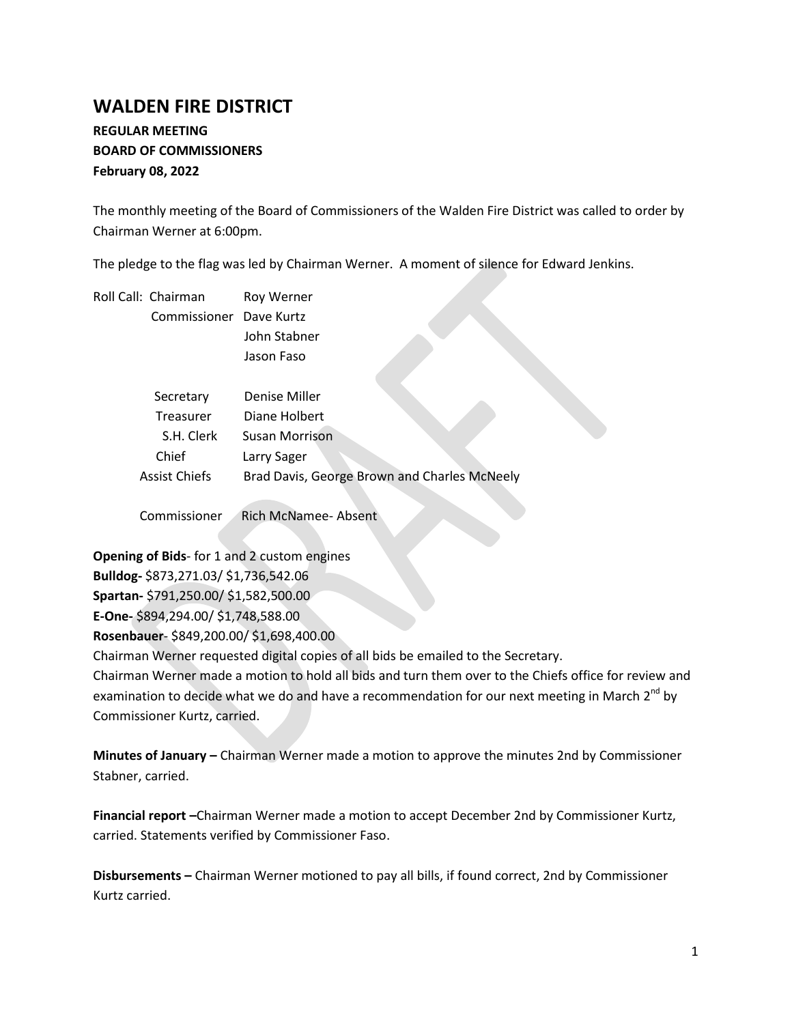# **WALDEN FIRE DISTRICT**

# **REGULAR MEETING BOARD OF COMMISSIONERS February 08, 2022**

The monthly meeting of the Board of Commissioners of the Walden Fire District was called to order by Chairman Werner at 6:00pm.

The pledge to the flag was led by Chairman Werner. A moment of silence for Edward Jenkins.

|  | Roll Call: Chairman     | Roy Werner                                   |
|--|-------------------------|----------------------------------------------|
|  | Commissioner Dave Kurtz |                                              |
|  |                         | John Stabner                                 |
|  |                         | Jason Faso                                   |
|  |                         |                                              |
|  | Secretary               | Denise Miller                                |
|  | Treasurer               | Diane Holbert                                |
|  | S.H. Clerk              | Susan Morrison                               |
|  | Chief                   | Larry Sager                                  |
|  | <b>Assist Chiefs</b>    | Brad Davis, George Brown and Charles McNeely |
|  | Commissioner            | Rich McNamee-Absent                          |

**Opening of Bids**- for 1 and 2 custom engines **Bulldog-** \$873,271.03/ \$1,736,542.06 **Spartan-** \$791,250.00/ \$1,582,500.00 **E-One-** \$894,294.00/ \$1,748,588.00 **Rosenbauer**- \$849,200.00/ \$1,698,400.00 Chairman Werner requested digital copies of all bids be emailed to the Secretary.

Chairman Werner made a motion to hold all bids and turn them over to the Chiefs office for review and examination to decide what we do and have a recommendation for our next meeting in March 2<sup>nd</sup> by Commissioner Kurtz, carried.

**Minutes of January –** Chairman Werner made a motion to approve the minutes 2nd by Commissioner Stabner, carried.

**Financial report –**Chairman Werner made a motion to accept December 2nd by Commissioner Kurtz, carried. Statements verified by Commissioner Faso.

**Disbursements –** Chairman Werner motioned to pay all bills, if found correct, 2nd by Commissioner Kurtz carried.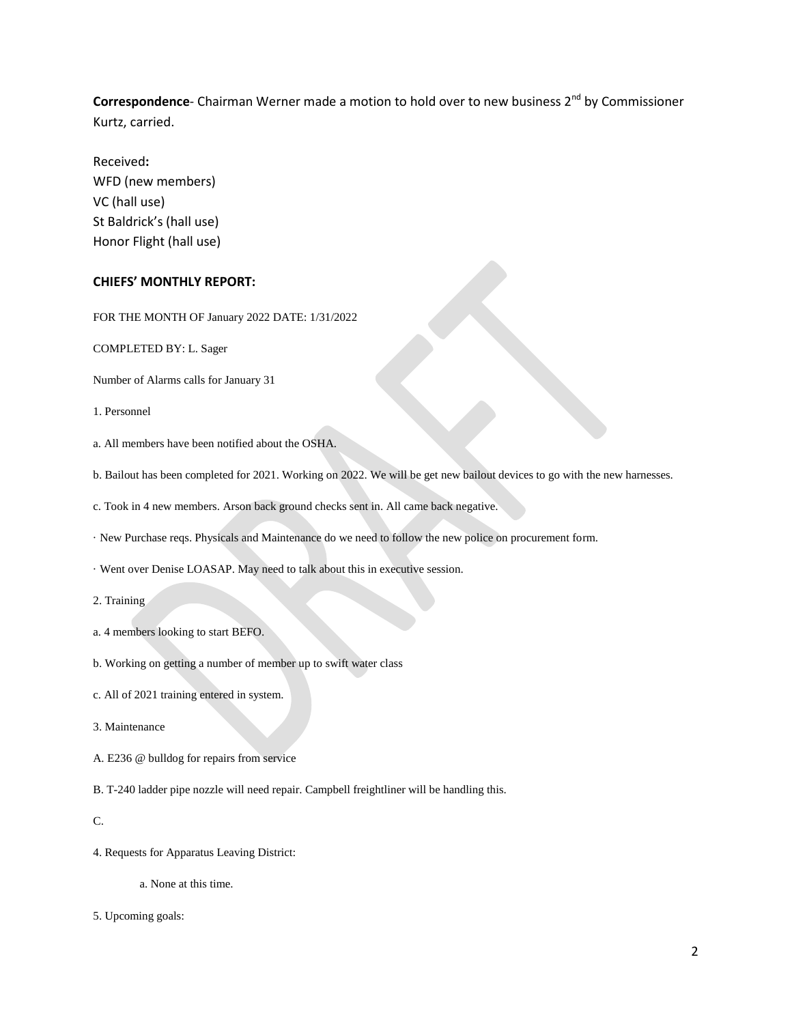**Correspondence**- Chairman Werner made a motion to hold over to new business 2<sup>nd</sup> by Commissioner Kurtz, carried.

Received**:**  WFD (new members) VC (hall use) St Baldrick's (hall use) Honor Flight (hall use)

## **CHIEFS' MONTHLY REPORT:**

FOR THE MONTH OF January 2022 DATE: 1/31/2022

COMPLETED BY: L. Sager

Number of Alarms calls for January 31

1. Personnel

a. All members have been notified about the OSHA.

b. Bailout has been completed for 2021. Working on 2022. We will be get new bailout devices to go with the new harnesses.

c. Took in 4 new members. Arson back ground checks sent in. All came back negative.

· New Purchase reqs. Physicals and Maintenance do we need to follow the new police on procurement form.

· Went over Denise LOASAP. May need to talk about this in executive session.

2. Training

- a. 4 members looking to start BEFO.
- b. Working on getting a number of member up to swift water class
- c. All of 2021 training entered in system.

3. Maintenance

A. E236 @ bulldog for repairs from service

B. T-240 ladder pipe nozzle will need repair. Campbell freightliner will be handling this.

C.

4. Requests for Apparatus Leaving District:

a. None at this time.

5. Upcoming goals: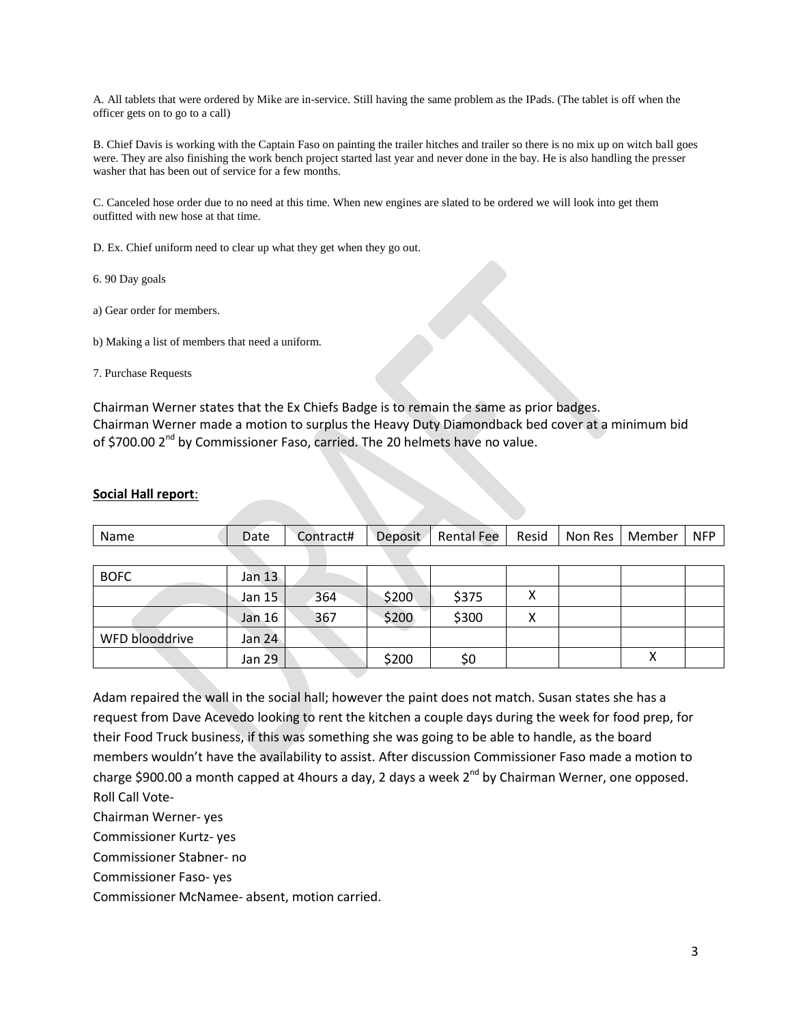A. All tablets that were ordered by Mike are in-service. Still having the same problem as the IPads. (The tablet is off when the officer gets on to go to a call)

B. Chief Davis is working with the Captain Faso on painting the trailer hitches and trailer so there is no mix up on witch ball goes were. They are also finishing the work bench project started last year and never done in the bay. He is also handling the presser washer that has been out of service for a few months.

C. Canceled hose order due to no need at this time. When new engines are slated to be ordered we will look into get them outfitted with new hose at that time.

D. Ex. Chief uniform need to clear up what they get when they go out.

6. 90 Day goals

a) Gear order for members.

b) Making a list of members that need a uniform.

7. Purchase Requests

Chairman Werner states that the Ex Chiefs Badge is to remain the same as prior badges. Chairman Werner made a motion to surplus the Heavy Duty Diamondback bed cover at a minimum bid of \$700.00 2<sup>nd</sup> by Commissioner Faso, carried. The 20 helmets have no value.

#### **Social Hall report**:

| Name           | Date          | Contract# | Deposit | <b>Rental Fee</b> | Resid | Non Res | Member | <b>NFP</b> |
|----------------|---------------|-----------|---------|-------------------|-------|---------|--------|------------|
|                |               |           |         |                   |       |         |        |            |
| <b>BOFC</b>    | Jan 13        |           |         |                   |       |         |        |            |
|                | Jan 15        | 364       | \$200   | \$375             | Χ     |         |        |            |
|                | Jan 16        | 367       | \$200   | \$300             | Χ     |         |        |            |
| WFD blooddrive | Jan 24        |           |         |                   |       |         |        |            |
|                | <b>Jan 29</b> |           | \$200   | \$0               |       |         | х      |            |

Adam repaired the wall in the social hall; however the paint does not match. Susan states she has a request from Dave Acevedo looking to rent the kitchen a couple days during the week for food prep, for their Food Truck business, if this was something she was going to be able to handle, as the board members wouldn't have the availability to assist. After discussion Commissioner Faso made a motion to charge \$900.00 a month capped at 4hours a day, 2 days a week 2<sup>nd</sup> by Chairman Werner, one opposed. Roll Call Vote-

Chairman Werner- yes

Commissioner Kurtz- yes

Commissioner Stabner- no

Commissioner Faso- yes

Commissioner McNamee- absent, motion carried.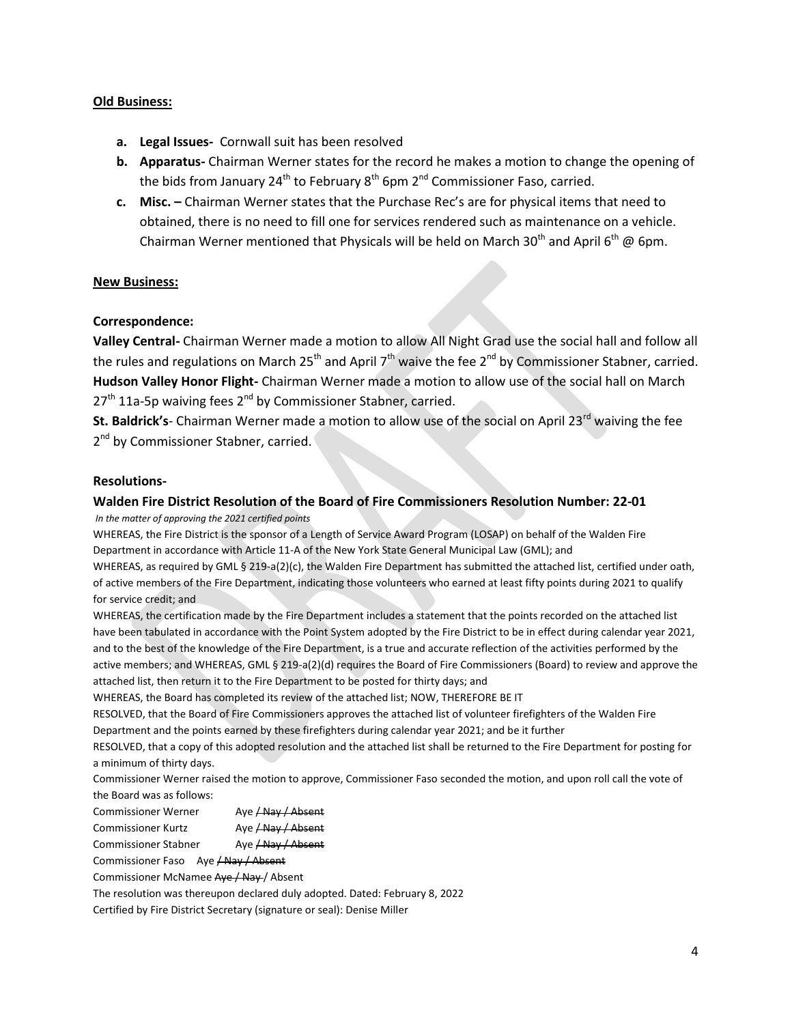# **Old Business:**

- **a. Legal Issues-** Cornwall suit has been resolved
- **b. Apparatus-** Chairman Werner states for the record he makes a motion to change the opening of the bids from January  $24^{th}$  to February  $8^{th}$  6pm  $2^{nd}$  Commissioner Faso, carried.
- **c. Misc. –** Chairman Werner states that the Purchase Rec's are for physical items that need to obtained, there is no need to fill one for services rendered such as maintenance on a vehicle. Chairman Werner mentioned that Physicals will be held on March 30<sup>th</sup> and April 6<sup>th</sup> @ 6pm.

# **New Business:**

# **Correspondence:**

**Valley Central-** Chairman Werner made a motion to allow All Night Grad use the social hall and follow all the rules and regulations on March 25<sup>th</sup> and April 7<sup>th</sup> waive the fee 2<sup>nd</sup> by Commissioner Stabner, carried. **Hudson Valley Honor Flight-** Chairman Werner made a motion to allow use of the social hall on March  $27<sup>th</sup>$  11a-5p waiving fees  $2<sup>nd</sup>$  by Commissioner Stabner, carried.

**St. Baldrick's**- Chairman Werner made a motion to allow use of the social on April 23<sup>rd</sup> waiving the fee 2<sup>nd</sup> by Commissioner Stabner, carried.

## **Resolutions-**

## **Walden Fire District Resolution of the Board of Fire Commissioners Resolution Number: 22-01**

*In the matter of approving the 2021 certified points* 

WHEREAS, the Fire District is the sponsor of a Length of Service Award Program (LOSAP) on behalf of the Walden Fire Department in accordance with Article 11-A of the New York State General Municipal Law (GML); and

WHEREAS, as required by GML § 219-a(2)(c), the Walden Fire Department has submitted the attached list, certified under oath, of active members of the Fire Department, indicating those volunteers who earned at least fifty points during 2021 to qualify for service credit; and

WHEREAS, the certification made by the Fire Department includes a statement that the points recorded on the attached list have been tabulated in accordance with the Point System adopted by the Fire District to be in effect during calendar year 2021, and to the best of the knowledge of the Fire Department, is a true and accurate reflection of the activities performed by the active members; and WHEREAS, GML § 219-a(2)(d) requires the Board of Fire Commissioners (Board) to review and approve the attached list, then return it to the Fire Department to be posted for thirty days; and

WHEREAS, the Board has completed its review of the attached list; NOW, THEREFORE BE IT

RESOLVED, that the Board of Fire Commissioners approves the attached list of volunteer firefighters of the Walden Fire Department and the points earned by these firefighters during calendar year 2021; and be it further

RESOLVED, that a copy of this adopted resolution and the attached list shall be returned to the Fire Department for posting for a minimum of thirty days.

Commissioner Werner raised the motion to approve, Commissioner Faso seconded the motion, and upon roll call the vote of the Board was as follows:

- Commissioner Werner Aye / Nay / Absent
- Commissioner Kurtz Aye / Nay / Absent

Commissioner Stabner Aye / Nay / Absent

Commissioner Faso Aye / Nay / Absent

Commissioner McNamee Aye / Nay / Absent

The resolution was thereupon declared duly adopted. Dated: February 8, 2022

Certified by Fire District Secretary (signature or seal): Denise Miller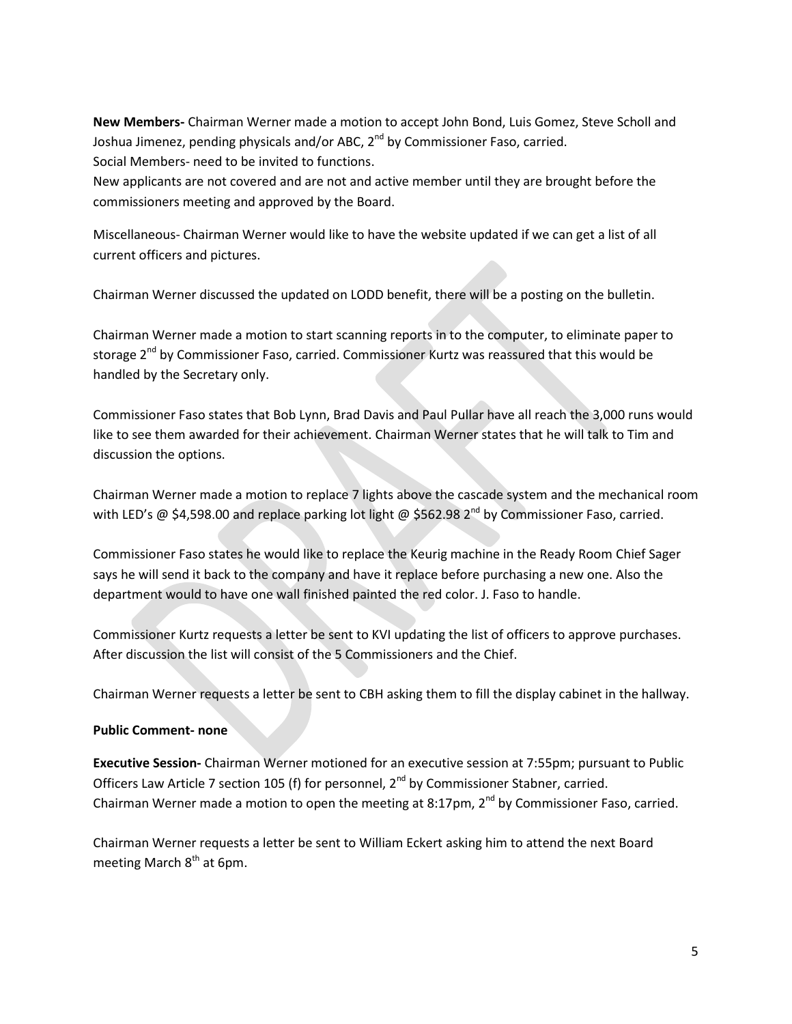**New Members-** Chairman Werner made a motion to accept John Bond, Luis Gomez, Steve Scholl and Joshua Jimenez, pending physicals and/or ABC,  $2^{nd}$  by Commissioner Faso, carried. Social Members- need to be invited to functions.

New applicants are not covered and are not and active member until they are brought before the commissioners meeting and approved by the Board.

Miscellaneous- Chairman Werner would like to have the website updated if we can get a list of all current officers and pictures.

Chairman Werner discussed the updated on LODD benefit, there will be a posting on the bulletin.

Chairman Werner made a motion to start scanning reports in to the computer, to eliminate paper to storage 2<sup>nd</sup> by Commissioner Faso, carried. Commissioner Kurtz was reassured that this would be handled by the Secretary only.

Commissioner Faso states that Bob Lynn, Brad Davis and Paul Pullar have all reach the 3,000 runs would like to see them awarded for their achievement. Chairman Werner states that he will talk to Tim and discussion the options.

Chairman Werner made a motion to replace 7 lights above the cascade system and the mechanical room with LED's @ \$4,598.00 and replace parking lot light @ \$562.98  $2^{nd}$  by Commissioner Faso, carried.

Commissioner Faso states he would like to replace the Keurig machine in the Ready Room Chief Sager says he will send it back to the company and have it replace before purchasing a new one. Also the department would to have one wall finished painted the red color. J. Faso to handle.

Commissioner Kurtz requests a letter be sent to KVI updating the list of officers to approve purchases. After discussion the list will consist of the 5 Commissioners and the Chief.

Chairman Werner requests a letter be sent to CBH asking them to fill the display cabinet in the hallway.

## **Public Comment- none**

**Executive Session-** Chairman Werner motioned for an executive session at 7:55pm; pursuant to Public Officers Law Article 7 section 105 (f) for personnel, 2<sup>nd</sup> by Commissioner Stabner, carried. Chairman Werner made a motion to open the meeting at 8:17pm,  $2^{nd}$  by Commissioner Faso, carried.

Chairman Werner requests a letter be sent to William Eckert asking him to attend the next Board meeting March 8<sup>th</sup> at 6pm.